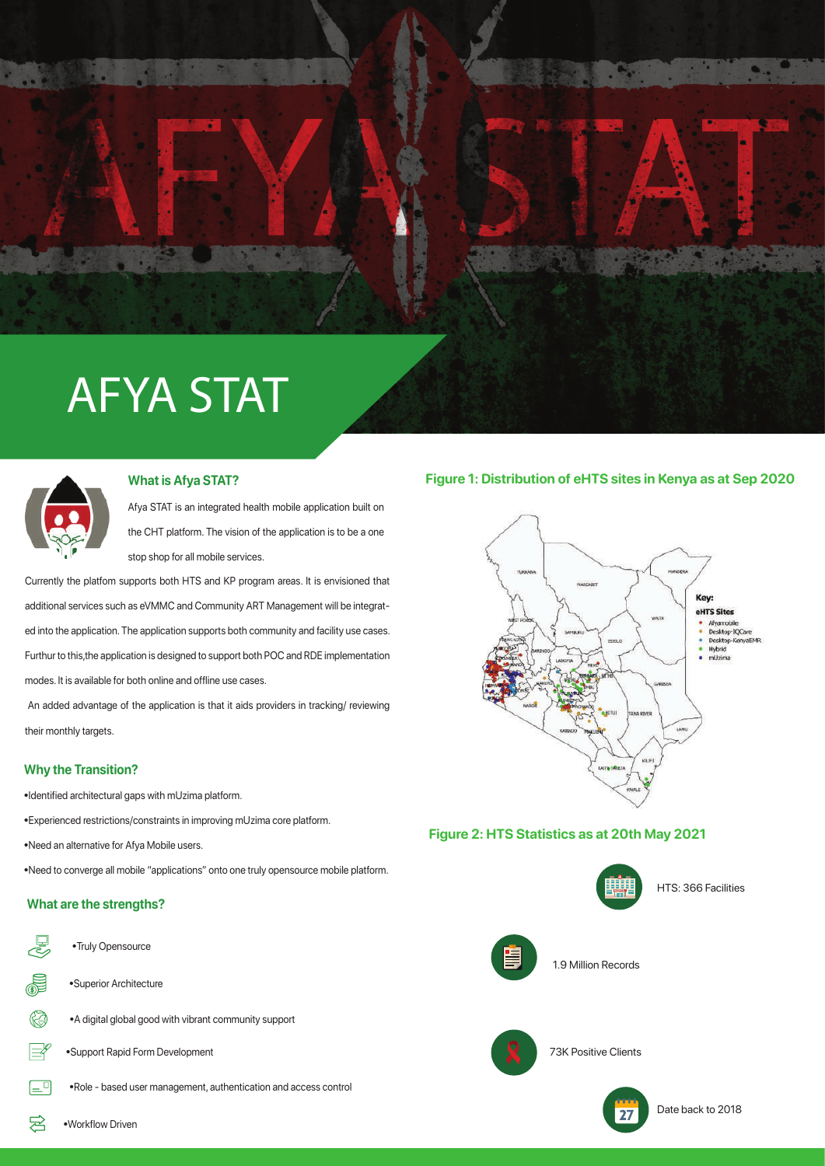# AFYA STAT



Afya STAT is an integrated health mobile application built on the CHT platform. The vision of the application is to be a one stop shop for all mobile services.

Currently the platfom supports both HTS and KP program areas. It is envisioned that additional services such as eVMMC and Community ART Management will be integrated into the application. The application supports both community and facility use cases. Furthur to this,the application is designed to support both POC and RDE implementation modes. It is available for both online and offline use cases.

 An added advantage of the application is that it aids providers in tracking/ reviewing their monthly targets.

### **Why the Transition?**

•Identified architectural gaps with mUzima platform.

•Experienced restrictions/constraints in improving mUzima core platform.

•Need an alternative for Afya Mobile users.

•Need to converge all mobile "applications" onto one truly opensource mobile platform.

# **What are the strengths?**



•Truly Opensource

ヌ

- •A digital global good with vibrant community support
- •Support Rapid Form Development

•Role - based user management, authentication and access control

# **What is Afya STAT? Figure 1: Distribution of eHTS sites in Kenya as at Sep 2020**



# **Figure 2: HTS Statistics as at 20th May 2021**



•Workflow Driven